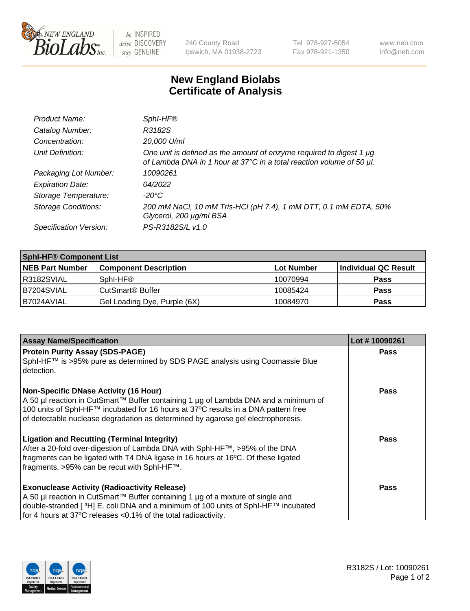

 $be$  INSPIRED drive DISCOVERY stay GENUINE

240 County Road Ipswich, MA 01938-2723 Tel 978-927-5054 Fax 978-921-1350 www.neb.com info@neb.com

## **New England Biolabs Certificate of Analysis**

| Product Name:              | Sphl-HF®                                                                                                                                    |
|----------------------------|---------------------------------------------------------------------------------------------------------------------------------------------|
| Catalog Number:            | R3182S                                                                                                                                      |
| Concentration:             | 20,000 U/ml                                                                                                                                 |
| Unit Definition:           | One unit is defined as the amount of enzyme required to digest 1 µg<br>of Lambda DNA in 1 hour at 37°C in a total reaction volume of 50 µl. |
| Packaging Lot Number:      | 10090261                                                                                                                                    |
| <b>Expiration Date:</b>    | 04/2022                                                                                                                                     |
| Storage Temperature:       | $-20^{\circ}$ C                                                                                                                             |
| <b>Storage Conditions:</b> | 200 mM NaCl, 10 mM Tris-HCl (pH 7.4), 1 mM DTT, 0.1 mM EDTA, 50%<br>Glycerol, 200 µg/ml BSA                                                 |
| Specification Version:     | PS-R3182S/L v1.0                                                                                                                            |

| <b>Sphl-HF® Component List</b> |                              |             |                      |  |  |
|--------------------------------|------------------------------|-------------|----------------------|--|--|
| <b>NEB Part Number</b>         | <b>Component Description</b> | ∣Lot Number | Individual QC Result |  |  |
| R3182SVIAL                     | Sphl-HF®                     | 10070994    | <b>Pass</b>          |  |  |
| IB7204SVIAL                    | CutSmart® Buffer             | 10085424    | <b>Pass</b>          |  |  |
| IB7024AVIAL                    | Gel Loading Dye, Purple (6X) | 10084970    | <b>Pass</b>          |  |  |

| <b>Assay Name/Specification</b>                                                                                                                                                                                                                                                                                 | Lot #10090261 |
|-----------------------------------------------------------------------------------------------------------------------------------------------------------------------------------------------------------------------------------------------------------------------------------------------------------------|---------------|
| <b>Protein Purity Assay (SDS-PAGE)</b><br>SphI-HF™ is >95% pure as determined by SDS PAGE analysis using Coomassie Blue<br>l detection.                                                                                                                                                                         | <b>Pass</b>   |
| <b>Non-Specific DNase Activity (16 Hour)</b><br>  A 50 µl reaction in CutSmart™ Buffer containing 1 µg of Lambda DNA and a minimum of<br>100 units of SphI-HF™ incubated for 16 hours at 37°C results in a DNA pattern free<br>of detectable nuclease degradation as determined by agarose gel electrophoresis. | Pass          |
| <b>Ligation and Recutting (Terminal Integrity)</b><br>After a 20-fold over-digestion of Lambda DNA with SphI-HF™, >95% of the DNA<br>fragments can be ligated with T4 DNA ligase in 16 hours at 16°C. Of these ligated<br>fragments, >95% can be recut with SphI-HF™.                                           | Pass          |
| <b>Exonuclease Activity (Radioactivity Release)</b><br>A 50 µl reaction in CutSmart™ Buffer containing 1 µg of a mixture of single and<br>double-stranded [ <sup>3</sup> H] E. coli DNA and a minimum of 100 units of Sphl-HF™ incubated<br>for 4 hours at 37°C releases <0.1% of the total radioactivity.      | <b>Pass</b>   |